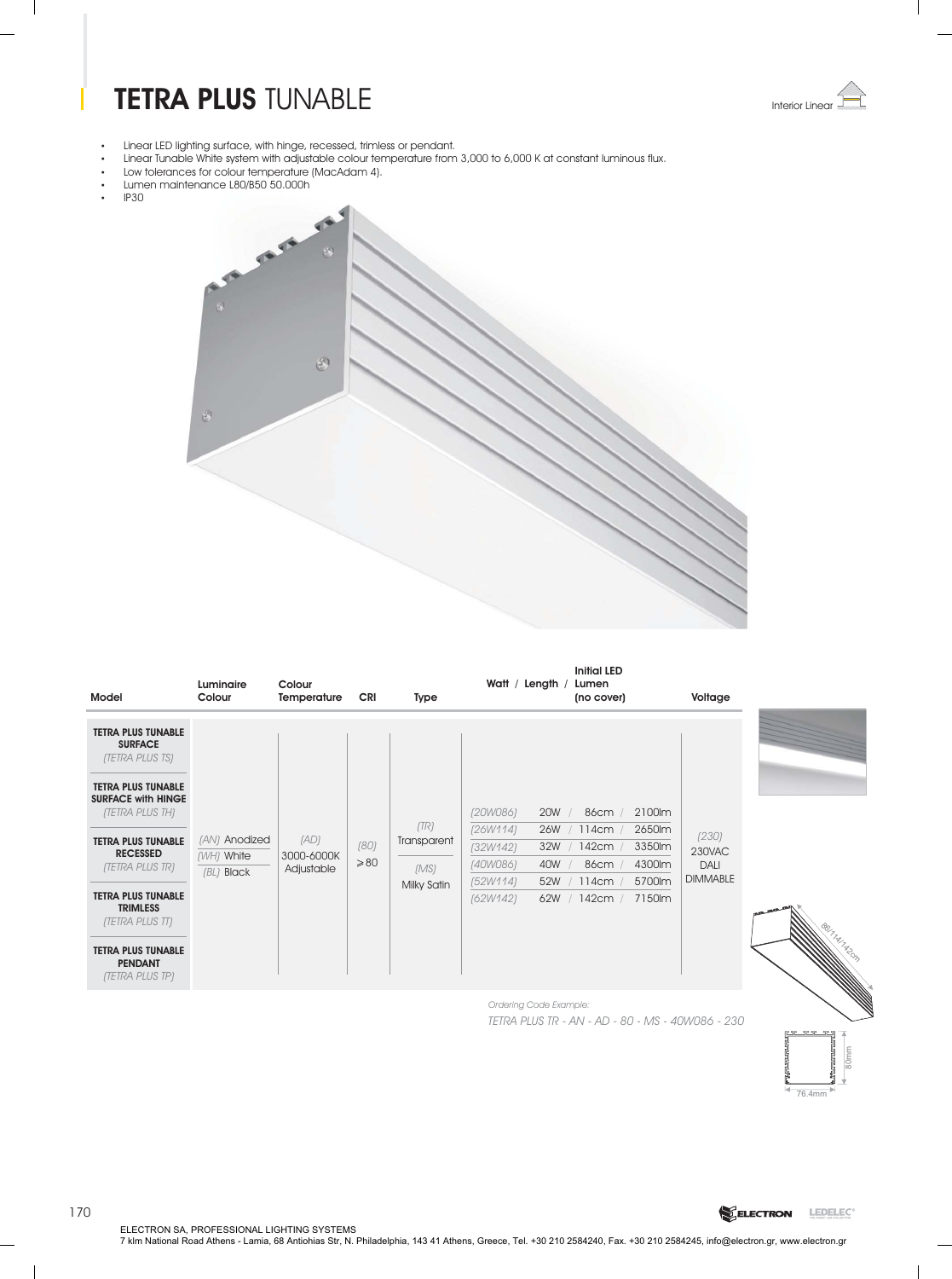# **TETRA PLUS** TUNABLE



-Linear LED lighting surface, with hinge, recessed, trimless or pendant.

- . Linear Tunable White system with adjustable colour temperature from 3,000 to 6,000 K at constant luminous flux
- . Low tolerances for colour temperature (MacAdam 4) Lumen maintenance L80/B50 50.000h
- --
- IP30



| Model                                                                                                                           | Luminaire<br>Colour                       | Colour<br>Temperature            | <b>CRI</b>             | Type                        | Watt / Length                                                     |            | <b>Initial LED</b><br>Lumen<br>(no cover) |                                      | Voltage                                    |
|---------------------------------------------------------------------------------------------------------------------------------|-------------------------------------------|----------------------------------|------------------------|-----------------------------|-------------------------------------------------------------------|------------|-------------------------------------------|--------------------------------------|--------------------------------------------|
| <b>TETRA PLUS TUNABLE</b><br><b>SURFACE</b><br><b>(TETRA PLUS TS)</b><br><b>TETRA PLUS TUNABLE</b><br><b>SURFACE with HINGE</b> |                                           |                                  |                        |                             |                                                                   |            |                                           |                                      |                                            |
| <b>(TETRA PLUS TH)</b><br><b>TETRA PLUS TUNABLE</b><br><b>RECESSED</b><br>(TETRA PLUS TR)                                       | (AN) Anodized<br>(WH) White<br>(BL) Black | (AD)<br>3000-6000K<br>Adjustable | (80)<br>$\geqslant$ 80 | (TR)<br>Transparent<br>(MS) | (20W086)<br>(26W114)<br>26W<br>(32W142)<br>32W<br>(40W086)<br>40W | <b>20W</b> | 86cm /<br>114cm<br>142cm<br>86cm<br>114cm | 2100lm<br>2650lm<br>3350lm<br>4300lm | (230)<br>230VAC<br>DALI<br><b>DIMMABLE</b> |
| <b>TETRA PLUS TUNABLE</b><br><b>TRIMLESS</b><br>(TETRA PLUS TT)<br><b>TETRA PLUS TUNABLE</b>                                    |                                           |                                  |                        | Milky Satin                 | (52W114)<br>(62W142)                                              | 52W<br>62W | 142cm                                     | 5700lm<br>7150lm                     |                                            |

*Ordering Code Example: TETRA PLUS TR - AN - AD - 80 - MS - 40W086 - 230*



ELECTRON SA, PROFESSIONAL LIGHTING SYSTEMS<br>7 klm National Road Athens - Lamia, 68 Antiohias Str, N. Philadelphia, 143 41 Athens, Greece, Tel. +30 210 2584240, Fax. +30 210 2584245, info@electron.gr, www.electron.gr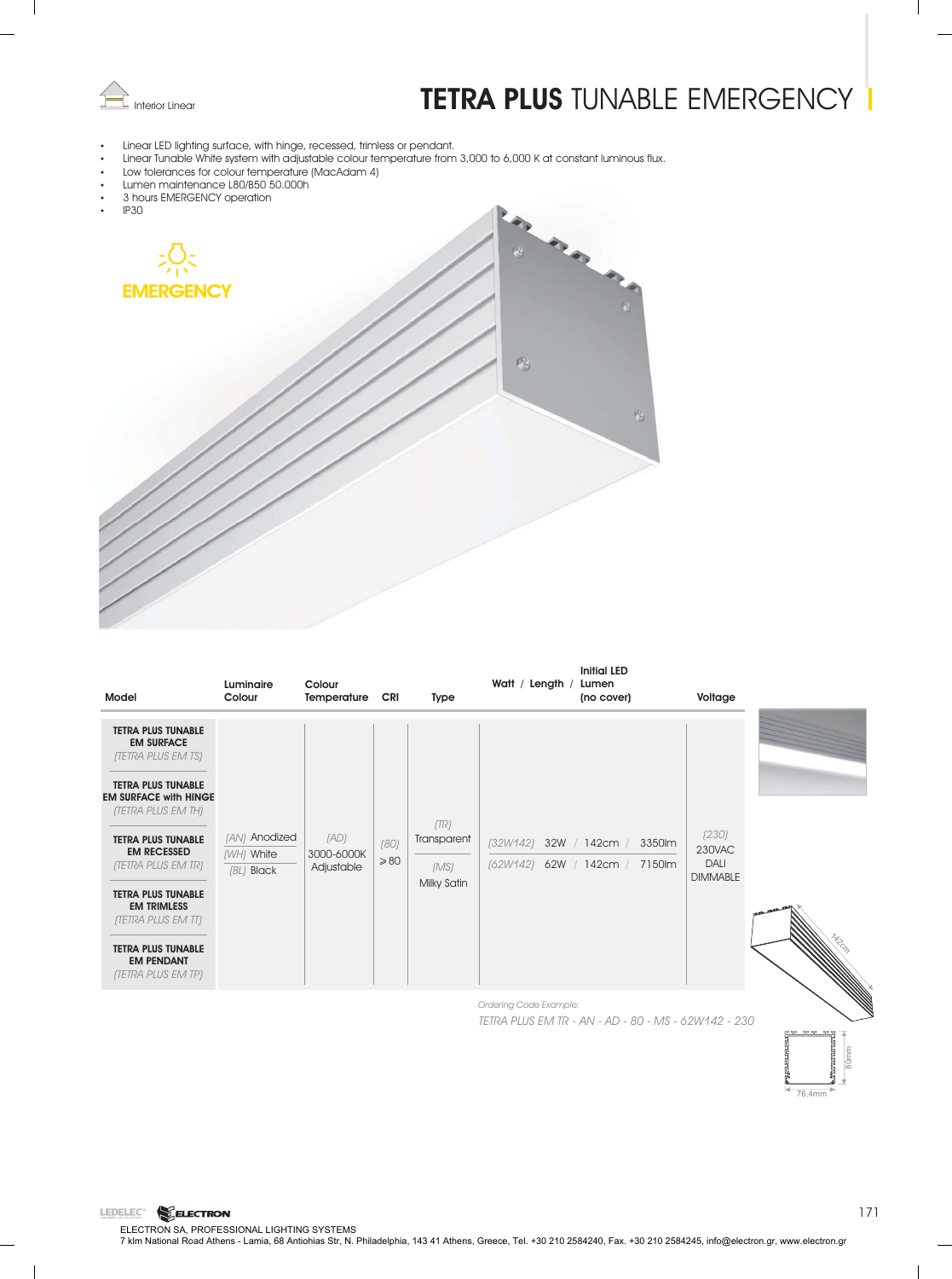

# **Interior Linear Concerned TETRA PLUS** TUNABLE EMERGENCY

- Linear LED lighting surface, with hinge, recessed, trimless or pendant.
- . Linear Tunable White system with adjustable colour temperature from 3,000 to 6,000 K at constant luminous flux
- Low tolerances for colour temperature (MacAdam 4)
- -Lumen maintenance L80/B50 50.000h
- 3 hours EMERGENCY operation

LEDELEC<sup>®</sup> ELECTRON



| Model                                                                                                                                                                                                                                                                                                                                                                                    | Luminaire<br>Colour                         | Colour<br>Temperature            | CRI                    | Type                                       | Watt / Length / | Initial LED<br>Lumen<br>(no cover)                             | Voltage                                    |  |
|------------------------------------------------------------------------------------------------------------------------------------------------------------------------------------------------------------------------------------------------------------------------------------------------------------------------------------------------------------------------------------------|---------------------------------------------|----------------------------------|------------------------|--------------------------------------------|-----------------|----------------------------------------------------------------|--------------------------------------------|--|
| <b>TETRA PLUS TUNABLE</b><br><b>EM SURFACE</b><br><b>(TETRA PLUS EM TS)</b><br><b>TETRA PLUS TUNABLE</b><br><b>EM SURFACE with HINGE</b><br>(TETRA PLUS EM TH)<br><b>TETRA PLUS TUNABLE</b><br><b>EM RECESSED</b><br>(TETRA PLUS EM TR)<br><b>TETRA PLUS TUNABLE</b><br><b>EM TRIMLESS</b><br>(TETRA PLUS EM TT)<br><b>TETRA PLUS TUNABLE</b><br><b>EM PENDANT</b><br>(TETRA PLUS EM TP) | (AN) Anodized<br>(WH) White<br>$(BL)$ Black | (AD)<br>3000-6000K<br>Adjustable | (80)<br>$\geqslant$ 80 | (TR)<br>Transparent<br>(MS)<br>Milky Satin |                 | (32W142) 32W / 142cm / 3350lm<br>(62W142) 62W / 142cm / 7150lm | (230)<br>230VAC<br>DALI<br><b>DIMMABLE</b> |  |

*Ordering Code Example: TETRA PLUS EM TR - AN - AD - 80 - MS - 62W142 - 230*

76.4mm

80mm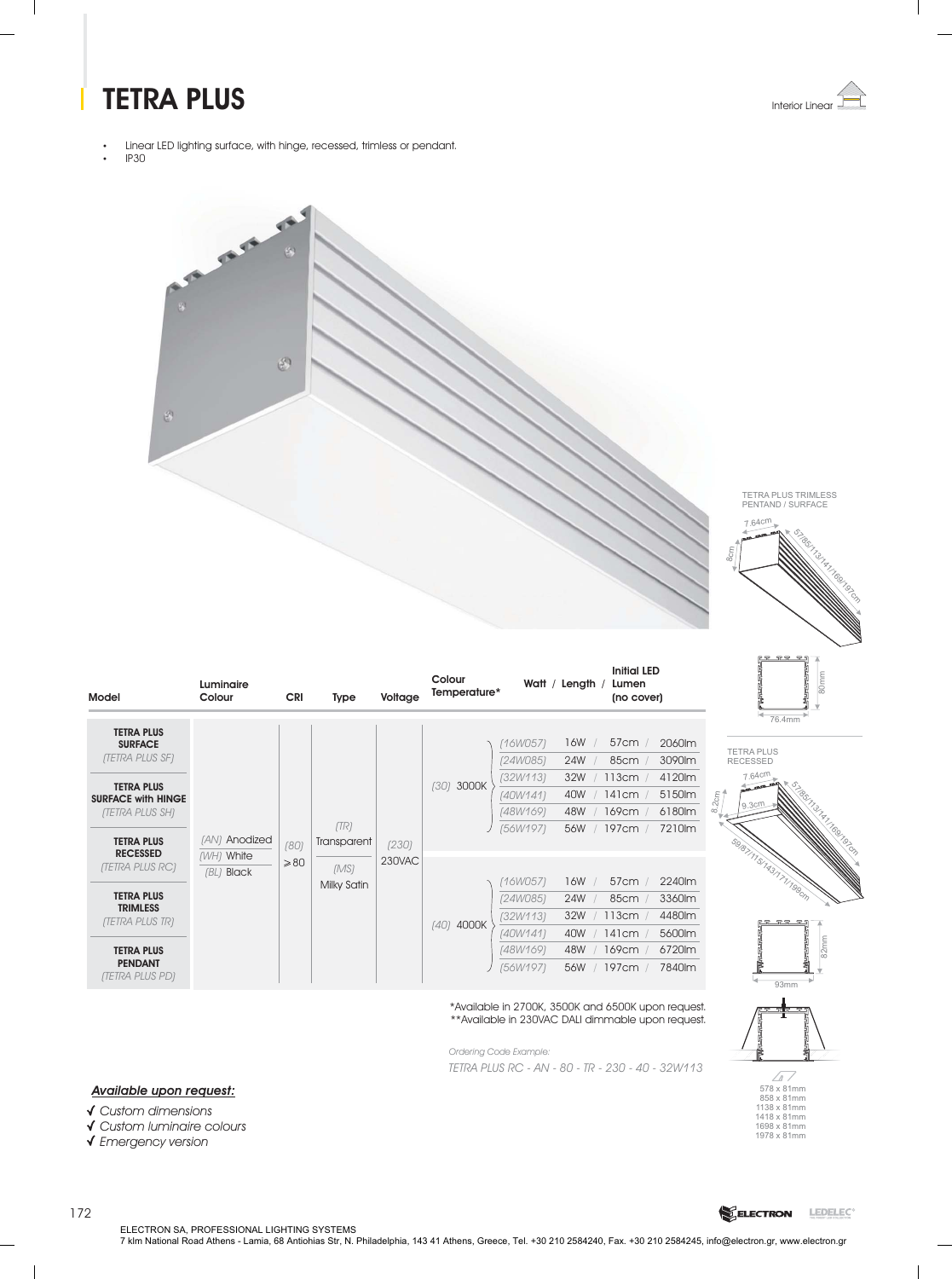## **TETRA PLUS** Interior Linear



- Linear LED lighting surface, with hinge, recessed, trimless or pendant.
- IP30



**Colour**





Francisco Carlos Carlos Carlos Carlos Carlos Carlos Carlos Carlos Carlos Carlos Carlos Carlos Carlos Carlos Ca<br>1990 - Carlos Carlos Carlos Carlos Carlos Carlos Carlos Carlos Carlos Carlos Carlos Carlos Carlos Carlos Carlo<br>

TETRA PLUS RECESSED

7.64cm

9.3cm

| Model                                                                                                                                                   | Luminaire<br>Colour      | <b>CRI</b>     | Type                | Voltage | uuu<br>Temperature* |                                                                     | Watt / Length                          | Lumen<br>(no cover)                                  |                                                          |       |
|---------------------------------------------------------------------------------------------------------------------------------------------------------|--------------------------|----------------|---------------------|---------|---------------------|---------------------------------------------------------------------|----------------------------------------|------------------------------------------------------|----------------------------------------------------------|-------|
| <b>TETRA PLUS</b><br><b>SURFACE</b><br>(TETRA PLUS SF)<br><b>TETRA PLUS</b><br><b>SURFACE with HINGE</b><br>(TETRA PLUS SH)<br><b>TETRA PLUS</b>        | (AN) Anodized            | (80)           | (TR)<br>Transparent | (230)   | 3000K<br>(30)       | 16W057)<br>(24W085)<br>(32W113)<br>(40W141)<br>(48W169)<br>[56W197] | 16W<br>24W<br>32W<br>40W<br>48W<br>56W | 57cm /<br>85cm<br>113cm<br>141cm /<br>169cm<br>197cm | 2060lm<br>3090lm<br>4120m<br>5150lm<br>6180lm<br>7210m   | 8.2cm |
| <b>RECESSED</b><br>(TETRA PLUS RC)<br><b>TETRA PLUS</b><br><b>TRIMLESS</b><br>(TETRA PLUS TR)<br><b>TETRA PLUS</b><br><b>PENDANT</b><br>(TETRA PLUS PD) | (WH) White<br>(BL) Black | $\geqslant$ 80 | (MS)<br>Milky Satin | 230VAC  | (40) 4000K          | 16W057)<br>(24W085)<br>(32W113)<br>(40W141)<br>(48W169)<br>(56W197) | 16W<br>24W<br>32W<br>40W<br>48W<br>56W | 57cm<br>85cm<br>113cm<br>141cm<br>169cm<br>197cm     | 2240lm<br>3360lm<br>4480lm<br>5600lm<br>6720lm<br>7840lm |       |

\*Available in 2700K, 3500K and 6500K upon request. \*\*Available in 230VAC DALI dimmable upon request.

*Ordering Code Example: TETRA PLUS RC - AN - 80 - TR - 230 - 40 - 32W113*

**Initial LED**

**Watt** / Length / Lumen

#### *Available upon request:*

*Custom dimensions*

- *Custom luminaire colours*
- *Emergency version*







172